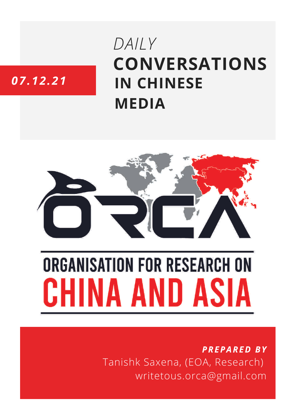## **CONVERSATIONS IN CHINESE MEDIA** *DAILY*

### *07.12.21*



# **ORGANISATION FOR RESEARCH ON** HINA AND ASIA

*PREPARED BY* Tanishk Saxena, (EOA, Research) writetous.orca@gmail.com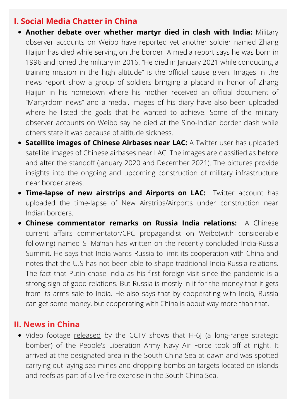#### **I. Social Media Chatter in China**

- **Another debate over whether martyr died in clash with India:** Military observer accounts on Weibo have reported yet another soldier named Zhang Haijun has died while serving on the border. A media report says he was born in 1996 and joined the military in 2016. "He died in January 2021 while conducting a training mission in the high altitude" is the official cause given. Images in the news report show a group of soldiers bringing a placard in honor of Zhang Haijun in his hometown where his mother received an official document of "Martyrdom news" and a medal. Images of his diary have also been uploaded where he listed the goals that he wanted to achieve. Some of the military observer accounts on Weibo say he died at the Sino-Indian border clash while others state it was because of altitude sickness.
- **Satellite images of Chinese Airbases near LAC:** A Twitter user has [uploaded](https://twitter.com/Mrcool63040811/status/1468136932194406403) satellite images of Chinese airbases near LAC. The images are classified as before and after the standoff (January 2020 and December 2021). The pictures provide insights into the ongoing and upcoming construction of military infrastructure near border areas.
- **Time-lapse of new airstrips and Airports on LAC:** Twitter account has uploaded the time-lapse of New Airstrips/Airports under construction near Indian borders.
- **Chinese commentator remarks on Russia India relations:** A Chinese current affairs commentator/CPC propagandist on Weibo(with considerable following) named Si Ma'nan has written on the recently concluded India-Russia Summit. He says that India wants Russia to limit its cooperation with China and notes that the U.S has not been able to shape traditional India-Russia relations. The fact that Putin chose India as his first foreign visit since the pandemic is a strong sign of good relations. But Russia is mostly in it for the money that it gets from its arms sale to India. He also says that by cooperating with India, Russia can get some money, but cooperating with China is about way more than that.

#### **II. News in China**

• Video footage [released](https://www.janes.com/defence-news/news-detail/planaf-deploys-h-6j-in-mine-laying-bombing-drills-in-south-china-sea) by the CCTV shows that H-6J (a long-range strategic bomber) of the People's Liberation Army Navy Air Force took off at night. It arrived at the designated area in the South China Sea at dawn and was spotted carrying out laying sea mines and dropping bombs on targets located on islands and reefs as part of a live-fire exercise in the South China Sea.